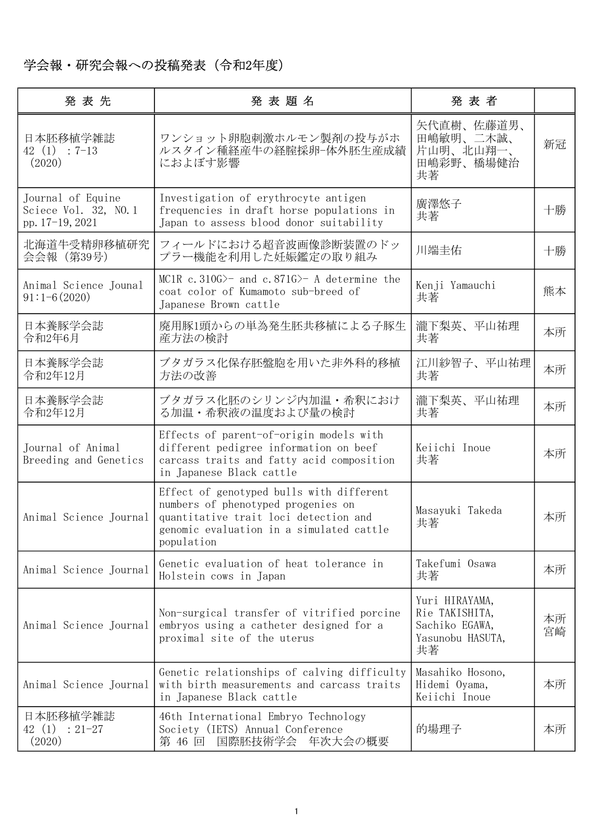## 学会報・研究会報への投稿発表(令和2年度)

| 発表先                                                          | 発表題名                                                                                                                                                                              | 発表者                                                                          |          |
|--------------------------------------------------------------|-----------------------------------------------------------------------------------------------------------------------------------------------------------------------------------|------------------------------------------------------------------------------|----------|
| 日本胚移植学雑誌<br>$42(1): 7-13$<br>(2020)                          | ワンショット卵胞刺激ホルモン製剤の投与がホ<br>ルスタイン種経産牛の経腟採卵-体外胚生産成績<br>におよぼす影響                                                                                                                        | 矢代直樹、佐藤道男、<br>田嶋敏明、二木誠、<br>片山明、北山翔一、<br>田嶋彩野、橋場健治<br>共著                      | 新冠       |
| Journal of Equine<br>Sciece Vol. 32, NO.1<br>pp. 17-19, 2021 | Investigation of erythrocyte antigen<br>frequencies in draft horse populations in<br>Japan to assess blood donor suitability                                                      | 廣澤悠子<br>共著                                                                   | 十勝       |
| 北海道牛受精卵移植研究<br>会会報 (第39号)                                    | フィールドにおける超音波画像診断装置のドッ<br>プラー機能を利用した妊娠鑑定の取り組み                                                                                                                                      | 川端圭佑                                                                         | 十勝       |
| Animal Science Jounal<br>$91:1-6(2020)$                      | MC1R c. 310G $\succ$ and c. 871G $\succ$ A determine the<br>coat color of Kumamoto sub-breed of<br>Japanese Brown cattle                                                          | Kenji Yamauchi<br>共著                                                         | 熊本       |
| 日本養豚学会誌<br>令和2年6月                                            | 廃用豚1頭からの単為発生胚共移植による子豚生<br>産方法の検計                                                                                                                                                  | 瀧下梨英、平山祐理<br>共著                                                              | 本所       |
| 日本養豚学会誌<br>令和2年12月                                           | ブタガラス化保存胚盤胞を用いた非外科的移植<br>方法の改善                                                                                                                                                    | 江川紗智子、平山祐理<br>共著                                                             | 本所       |
| 日本養豚学会誌<br>令和2年12月                                           | ブタガラス化胚のシリンジ内加温・希釈におけ<br>る加温・希釈液の温度および量の検討                                                                                                                                        | 瀧下梨英、平山祐理<br>共著                                                              | 本所       |
| Journal of Animal<br>Breeding and Genetics                   | Effects of parent-of-origin models with<br>different pedigree information on beef<br>carcass traits and fatty acid composition<br>in Japanese Black cattle                        | Keiichi Inoue<br>共著                                                          | 本所       |
| Animal Science Journal                                       | Effect of genotyped bulls with different<br>numbers of phenotyped progenies on<br>quantitative trait loci detection and<br>genomic evaluation in a simulated cattle<br>population | Masayuki Takeda<br>共著                                                        | 本所       |
| Animal Science Journal                                       | Genetic evaluation of heat tolerance in<br>Holstein cows in Japan                                                                                                                 | Takefumi Osawa<br>共著                                                         | 本所       |
| Animal Science Journal                                       | Non-surgical transfer of vitrified porcine<br>embryos using a catheter designed for a<br>proximal site of the uterus                                                              | Yuri HIRAYAMA,<br>Rie TAKISHITA,<br>Sachiko EGAWA,<br>Yasunobu HASUTA,<br>共著 | 本所<br>宮崎 |
| Animal Science Journal                                       | Genetic relationships of calving difficulty<br>with birth measurements and carcass traits<br>in Japanese Black cattle                                                             | Masahiko Hosono,<br>Hidemi Oyama,<br>Keiichi Inoue                           | 本所       |
| 日本胚移植学雑誌<br>42 (1)<br>$: 21 - 27$<br>(2020)                  | 46th International Embryo Technology<br>Society (IETS) Annual Conference<br>国際胚技術学会 年次大会の概要<br>第 46 回                                                                             | 的場理子                                                                         | 本所       |